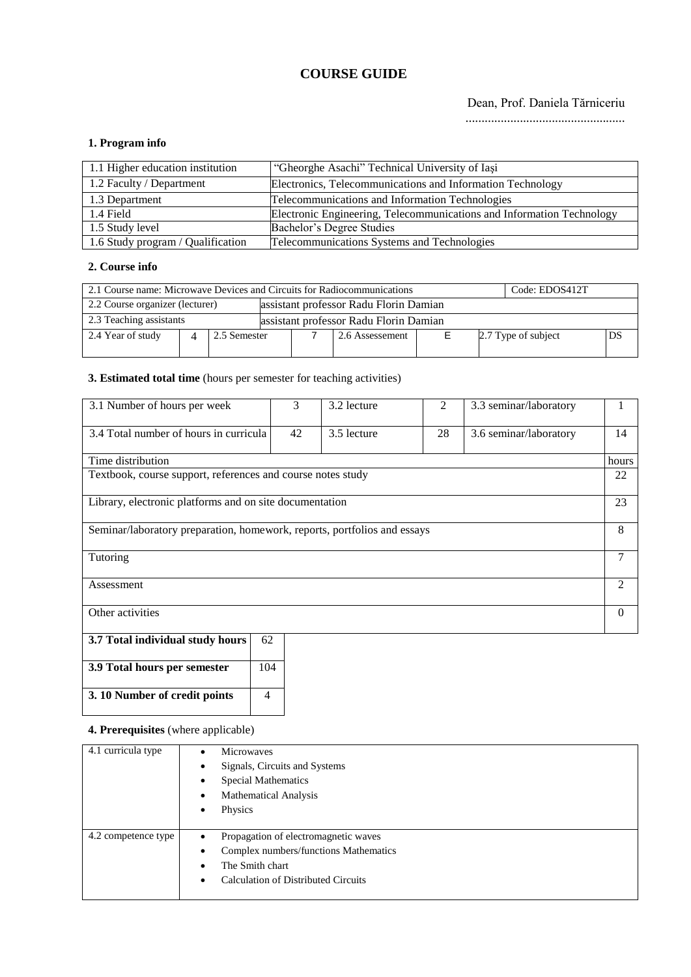# **COURSE GUIDE**

## Dean, Prof. Daniela Tărniceriu

..................................................

## **1. Program info**

| 1.1 Higher education institution  | "Gheorghe Asachi" Technical University of Iasi                        |
|-----------------------------------|-----------------------------------------------------------------------|
| 1.2 Faculty / Department          | Electronics, Telecommunications and Information Technology            |
| 1.3 Department                    | Telecommunications and Information Technologies                       |
| 1.4 Field                         | Electronic Engineering, Telecommunications and Information Technology |
| 1.5 Study level                   | Bachelor's Degree Studies                                             |
| 1.6 Study program / Qualification | Telecommunications Systems and Technologies                           |

## **2. Course info**

| 2.1 Course name: Microwave Devices and Circuits for Radiocommunications<br>Code: EDOS412T |  |              |  |  |                 |  |  |                     |  |    |
|-------------------------------------------------------------------------------------------|--|--------------|--|--|-----------------|--|--|---------------------|--|----|
| 2.2 Course organizer (lecturer)<br>assistant professor Radu Florin Damian                 |  |              |  |  |                 |  |  |                     |  |    |
| 2.3 Teaching assistants<br>assistant professor Radu Florin Damian                         |  |              |  |  |                 |  |  |                     |  |    |
| 2.4 Year of study                                                                         |  | 2.5 Semester |  |  | 2.6 Assessement |  |  | 2.7 Type of subject |  | DS |

# **3. Estimated total time** (hours per semester for teaching activities)

| 3.1 Number of hours per week                                             | 3  | 3.2 lecture | 2  | 3.3 seminar/laboratory |       |  |
|--------------------------------------------------------------------------|----|-------------|----|------------------------|-------|--|
| 3.4 Total number of hours in curricula                                   | 42 | 3.5 lecture | 28 | 3.6 seminar/laboratory | 14    |  |
| Time distribution                                                        |    |             |    |                        | hours |  |
| Textbook, course support, references and course notes study              |    |             |    |                        | 22    |  |
| Library, electronic platforms and on site documentation                  |    |             |    |                        |       |  |
| Seminar/laboratory preparation, homework, reports, portfolios and essays |    |             |    |                        |       |  |
| Tutoring                                                                 |    |             |    |                        | 7     |  |
| Assessment                                                               |    |             |    |                        |       |  |
| Other activities                                                         |    |             |    |                        |       |  |

| 3.7 Total individual study hours | 62  |  |
|----------------------------------|-----|--|
| 3.9 Total hours per semester     | 104 |  |
| 3. 10 Number of credit points    |     |  |

## **4. Prerequisites** (where applicable)

| 4.1 curricula type  | <b>Microwaves</b><br>$\bullet$                    |
|---------------------|---------------------------------------------------|
|                     | Signals, Circuits and Systems<br>٠                |
|                     | <b>Special Mathematics</b><br>٠                   |
|                     | <b>Mathematical Analysis</b><br>٠                 |
|                     | Physics<br>٠                                      |
|                     |                                                   |
| 4.2 competence type | Propagation of electromagnetic waves<br>$\bullet$ |
|                     | Complex numbers/functions Mathematics<br>٠        |
|                     | The Smith chart<br>٠                              |
|                     | <b>Calculation of Distributed Circuits</b><br>٠   |
|                     |                                                   |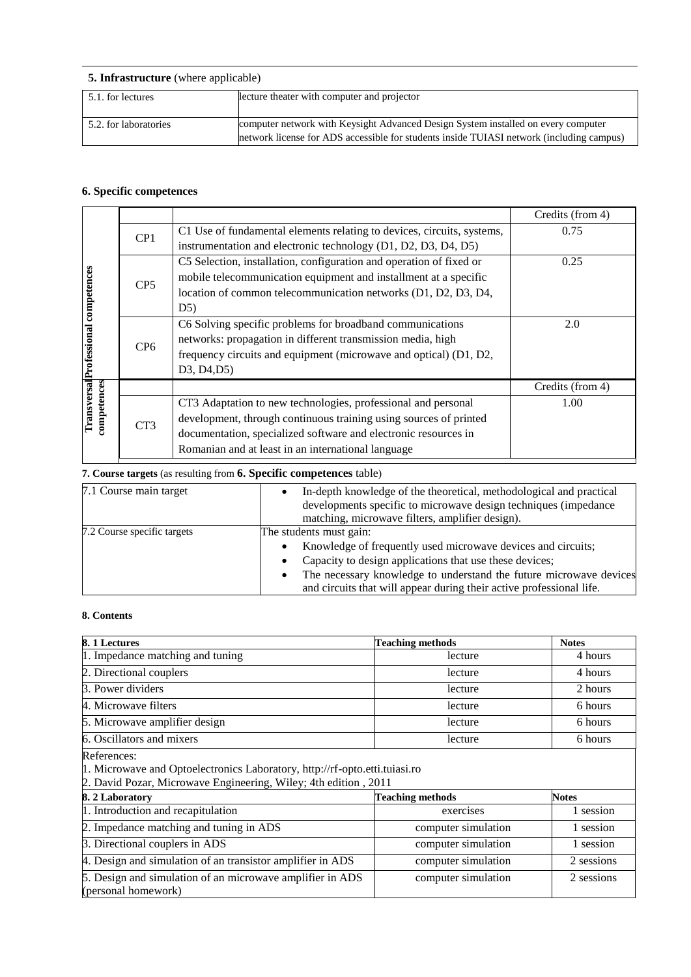| <b>5. Infrastructure</b> (where applicable) |                                                                                                                                                                               |  |  |  |  |
|---------------------------------------------|-------------------------------------------------------------------------------------------------------------------------------------------------------------------------------|--|--|--|--|
| 5.1. for lectures                           | lecture theater with computer and projector                                                                                                                                   |  |  |  |  |
| 5.2. for laboratories                       | computer network with Keysight Advanced Design System installed on every computer<br>network license for ADS accessible for students inside TUIASI network (including campus) |  |  |  |  |

# **6. Specific competences**

|                                             |                 |                                                                        | Credits (from 4) |
|---------------------------------------------|-----------------|------------------------------------------------------------------------|------------------|
|                                             | CP <sub>1</sub> | C1 Use of fundamental elements relating to devices, circuits, systems, | 0.75             |
|                                             |                 | instrumentation and electronic technology (D1, D2, D3, D4, D5)         |                  |
|                                             |                 | C5 Selection, installation, configuration and operation of fixed or    | 0.25             |
|                                             | CP <sub>5</sub> | mobile telecommunication equipment and installment at a specific       |                  |
|                                             |                 | location of common telecommunication networks (D1, D2, D3, D4,         |                  |
|                                             |                 | D5)                                                                    |                  |
|                                             |                 | C6 Solving specific problems for broadband communications              | 2.0              |
|                                             | CP <sub>6</sub> | networks: propagation in different transmission media, high            |                  |
|                                             |                 | frequency circuits and equipment (microwave and optical) (D1, D2,      |                  |
| <b>TransversallProfessional competences</b> |                 | D <sub>3</sub> , D <sub>4</sub> , D <sub>5</sub> )                     |                  |
|                                             |                 |                                                                        | Credits (from 4) |
| competences                                 |                 | CT3 Adaptation to new technologies, professional and personal          | 1.00             |
|                                             |                 | development, through continuous training using sources of printed      |                  |
|                                             | CT <sub>3</sub> | documentation, specialized software and electronic resources in        |                  |
|                                             |                 | Romanian and at least in an international language                     |                  |

# **7. Course targets** (as resulting from **6. Specific competences** table)

| 7.1 Course main target      | In-depth knowledge of the theoretical, methodological and practical<br>developments specific to microwave design techniques (impedance) |
|-----------------------------|-----------------------------------------------------------------------------------------------------------------------------------------|
|                             | matching, microwave filters, amplifier design).                                                                                         |
| 7.2 Course specific targets | The students must gain:                                                                                                                 |
|                             | Knowledge of frequently used microwave devices and circuits;                                                                            |
|                             | Capacity to design applications that use these devices;                                                                                 |
|                             | The necessary knowledge to understand the future microwave devices<br>٠                                                                 |
|                             | and circuits that will appear during their active professional life.                                                                    |

### **8. Contents**

| 8.1 Lectures                                                                                                                                                                                        | <b>Teaching methods</b> | <b>Notes</b> |  |  |  |
|-----------------------------------------------------------------------------------------------------------------------------------------------------------------------------------------------------|-------------------------|--------------|--|--|--|
| 1. Impedance matching and tuning                                                                                                                                                                    | lecture                 | 4 hours      |  |  |  |
| 2. Directional couplers                                                                                                                                                                             | lecture                 | 4 hours      |  |  |  |
| 3. Power dividers                                                                                                                                                                                   | lecture                 | 2 hours      |  |  |  |
| 4. Microwaye filters                                                                                                                                                                                | lecture                 | 6 hours      |  |  |  |
| 5. Microwave amplifier design                                                                                                                                                                       | lecture                 | 6 hours      |  |  |  |
| 6. Oscillators and mixers                                                                                                                                                                           | lecture                 | 6 hours      |  |  |  |
| 1. Microwave and Optoelectronics Laboratory, http://rf-opto.etti.tuiasi.ro<br>2. David Pozar, Microwave Engineering, Wiley; 4th edition, 2011<br>8.2 Laboratory<br><b>Notes</b><br>Teaching methods |                         |              |  |  |  |
| 1. Introduction and recapitulation                                                                                                                                                                  | exercises               | 1 session    |  |  |  |
| 2. Impedance matching and tuning in ADS                                                                                                                                                             | computer simulation     | 1 session    |  |  |  |
| 3. Directional couplers in ADS                                                                                                                                                                      | computer simulation     | 1 session    |  |  |  |
| 4. Design and simulation of an transistor amplifier in ADS                                                                                                                                          | computer simulation     | 2 sessions   |  |  |  |
| 5. Design and simulation of an microwave amplifier in ADS<br>(personal homework)                                                                                                                    | computer simulation     | 2 sessions   |  |  |  |